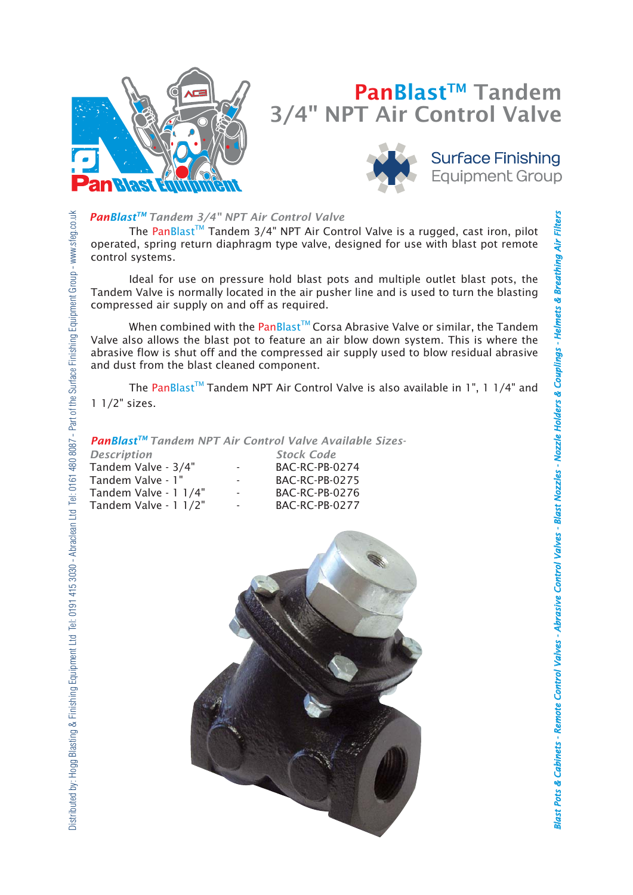

# PanBlast<sup>™</sup> Tandem 3/4" NPT Air Control Valve



## **Surface Finishing Equipment Group**

**Blast Pots & Cabinets -**

*binets Remote Control Valves - Abrasive Control Valves - Blast Nozzles - Nozzle Holders & Couplings - Helmets & Breathing Air Filters A*

Blast Pots & Cabinets - Remote Control Valves - Abrasive Control Valves - Blast Nozzles - Nozzle Holders & Couplings - Helmets & Breathing Air Filters

*brasive* 

## *PanBlastTM Tandem 3/4" NPT Air Control Valve*

The PanBlast<sup>TM</sup> Tandem 3/4" NPT Air Control Valve is a rugged, cast iron, pilot operated, spring return diaphragm type valve, designed for use with blast pot remote control systems.

Ideal for use on pressure hold blast pots and multiple outlet blast pots, the Tandem Valve is normally located in the air pusher line and is used to turn the blasting compressed air supply on and off as required.

When combined with the PanBlast<sup>™</sup> Corsa Abrasive Valve or similar, the Tandem Valve also allows the blast pot to feature an air blow down system. This is where the abrasive flow is shut off and the compressed air supply used to blow residual abrasive and dust from the blast cleaned component.

The PanBlast<sup>TM</sup> Tandem NPT Air Control Valve is also available in 1", 1 1/4" and 1 1/2" sizes.

### *PanBlastTM Tandem NPT Air Control Valve Available Sizes-*

| <b>Description</b>    |                          | <b>Stock Code</b>     |
|-----------------------|--------------------------|-----------------------|
| Tandem Valve - 3/4"   | $\overline{\phantom{a}}$ | BAC-RC-PB-0274        |
| Tandem Valve - 1"     | $\overline{\phantom{a}}$ | <b>BAC-RC-PB-0275</b> |
| Tandem Valve - 1 1/4" | $\overline{\phantom{a}}$ | BAC-RC-PB-0276        |
| Tandem Valve - 1 1/2" | $\overline{\phantom{a}}$ | BAC-RC-PB-0277        |

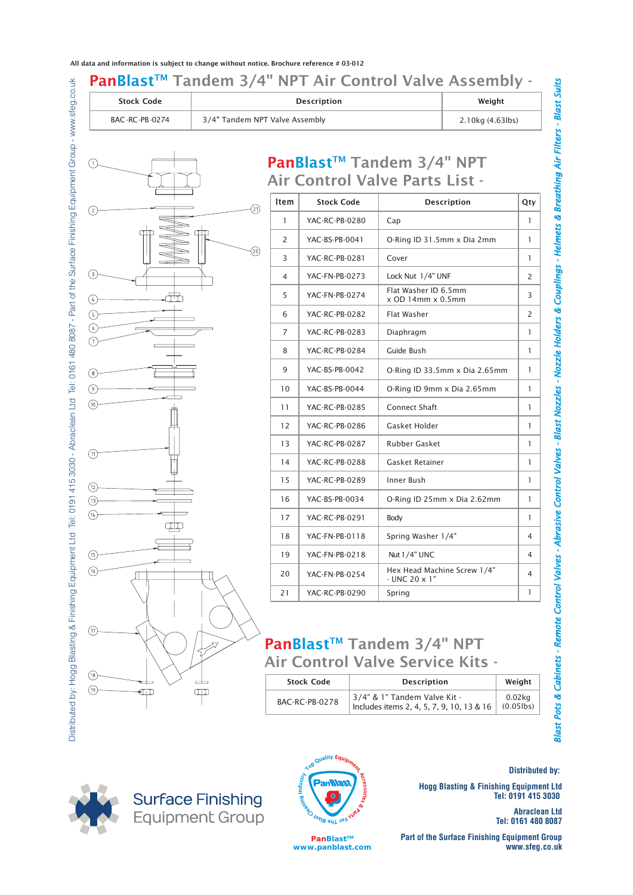All data and information is subject to change without notice. Brochure reference # 03-012

## PanBlast™ Tandem 3/4" NPT Air Control Valve Assembly -PanBlast™ Tandem 3/4" NPT Air Control Valve Parts List - Stock Code Description Weight BAC -RC-PB-0274 | 3/4" Tandem NPT Valve Assembly | 2.10kg (4.63lbs) Item Stock Code Description Qty 1 YAC-RC-PB-0280 3 | YAC-RC-PB-0281 | Cover | 1 6 | YAC-RC-PB-0282 | Flat Washer | 2 7 | YAC-RC-PB-0283 | Diaphragm | 1 8 | YAC-RC-PB-0284 | Guide Bush | 1 11 | YAC-RC-PB-0285 | Connect Shaft | 1 12 | YAC-RC-PB-0286 | Gasket Holder | 1 13 | YAC-RC-PB-0287 | Rubber Gasket | 1 14 | YAC-RC-PB-0288 | Gasket Retainer | 1 15 | YAC-RC-PB-0289 | Inner Bush | 1 YAC-BS-PB-0041 YAC-BS-PB-0042 YAC-BS-PB-0044 Cap Cover 1 2 | YAC-BS-PB-0041 | O-Ring ID 31.5mm x Dia 2mm 9 | YAC-BS-PB-0042 | O-Ring ID 33.5mm x Dia 2.65mm | 1 10 | YAC-BS-PB-0044 | O-Ring ID 9mm x Dia 2.65mm | 1 1 4 YAC-FN-PB-0273  $\begin{array}{|c|c|c|c|c|}\n5 & \text{YAC-FN-PB-0274} & \text{Flat Washer ID 6.5mm}\n\end{array}$ Lock Nut  $1/4$ " UNF 2 x OD 14mm x 0.5mm Flat Washer 3 8  $\odot$  $\left(\sqrt{4}\right)$ *binets Remote Control Valves - Abrasive Control Valves - Blast Nozzles - Nozzle Holders & Couplings - Helmets & Breathing Air Filters - Blast Suits* **branches are**  $\frac{1}{2}$  **-**  $\frac{1}{2}$  **-**  $\frac{1}{2}$  **-**  $\frac{1}{2}$  **-**  $\frac{1}{2}$  **-**  $\frac{1}{2}$  **-**  $\frac{1}{2}$  **-**  $\frac{1}{2}$  **-**  $\frac{1}{2}$  **-**  $\frac{1}{2}$  **-**  $\frac{1}{2}$  **-**  $\frac{1}{2}$  **-**  $\frac{1}{2}$  **-**  $\frac{1}{2}$  **-**  $\frac{1}{2}$  **-**  $\frac{1}{2}$  **-**  $\frac{1}{2}$  **- \frac**

YAC-BS-PB-0034

YAC-FN-PB-0118

YAC-FN-PB-0254

## PanBlast<sup>™</sup> Tandem 3/4" NPT Air Control Valve Service Kits -

| .                             | $\sim$ $\sim$ $\sim$ $\sim$ $\sim$ $\sim$ $\sim$ $\sim$                   |                                            |                                  |
|-------------------------------|---------------------------------------------------------------------------|--------------------------------------------|----------------------------------|
|                               | Air Control Valve Service Kits -                                          |                                            |                                  |
| <b>Stock Code</b>             | <b>Description</b>                                                        | Weight                                     |                                  |
| <b>BAC-RC-PB-0278</b>         | 3/4" & 1" Tandem Valve Kit -<br>Includes items 2, 4, 5, 7, 9, 10, 13 & 16 | $0.02$ kg<br>$(0.05$ lbs)                  | <b>Blast Pots &amp; Cabinets</b> |
| Top Quality Eq.               |                                                                           | <b>Distributed by:</b>                     |                                  |
| <b>FEDERAL PRIVATE</b>        | <b>Hogg Blasting &amp; Finishing Equipment Ltd</b>                        | Tel: 0191 415 3030                         |                                  |
|                               |                                                                           | <b>Abraclean Ltd</b><br>Tel: 0161 480 8087 |                                  |
| PanBlast™<br>www.panblast.com | <b>Part of the Surface Finishing Equipment Group</b>                      | www.sfeg.co.uk                             |                                  |

17 | YAC-RC-PB-0291 | Body | 1

18 | YAC-FN-PB-0118 | Spring Washer  $1/4$ " | 4

19 | YAC-FN-PB-0218 | Nut 1/4" UNC | 4

20 YAC-EN-PR-0254 | Hex Head Machine Screw 1/4"

16 | YAC-BS-PB-0034 | O-Ring ID 25mm x Dia 2.62mm | 1

21 | YAC-RC-PB-0290 | Spring | 1

Hex Head Machine Screw  $1/4$ " 4<br>- UNC 20 x 1"





**PanBlast™ www.panblast.com** *A*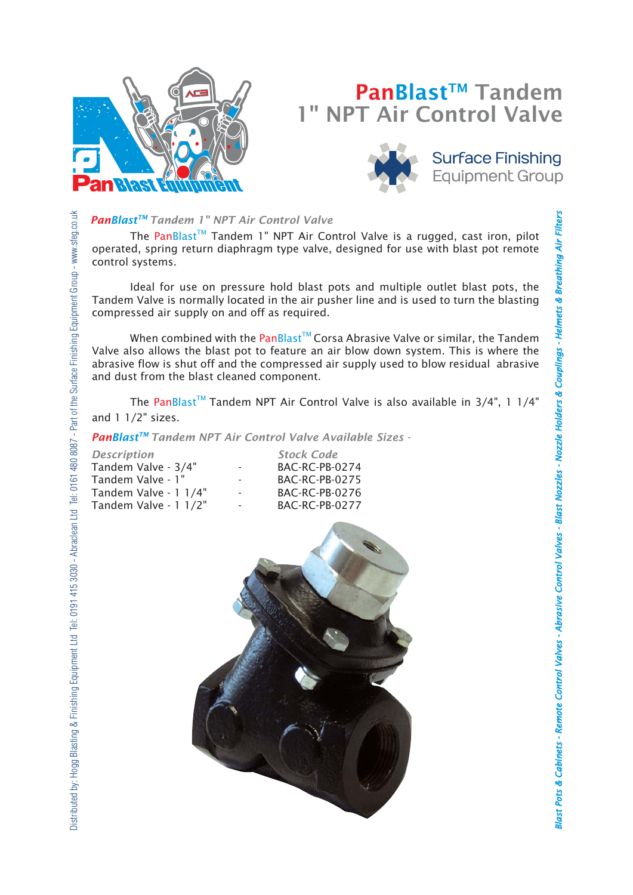

# PanBlast<sup>™</sup> Tandem 1" NPT Air Control Valve



**Surface Finishing Equipment Group** 

**Blast Pots & Cabinets -**

*binets Remote Control Valves - Abrasive Control Valves - Blast Nozzles - Nozzle Holders & Couplings - Helmets & Breathing Air Filters A*

Blast Pots & Cabinets - Remote Control Valves - Abrasive Control Valves - Blast Nozzles - Nozzle Holders & Couplings - Helmets & Breathing Air Filters

*brasive* 

## *PanBlastTM Tandem 1" NPT Air Control Valve*

The PanBlast<sup>TM</sup> Tandem 1" NPT Air Control Valve is a rugged, cast iron, pilot operated, spring return diaphragm type valve, designed for use with blast pot remote control systems.

 Ideal for use on pressure hold blast pots and multiple outlet blast pots, the Tandem Valve is normally located in the air pusher line and is used to turn the blasting compressed air supply on and off as required.

When combined with the PanBlast<sup>™</sup> Corsa Abrasive Valve or similar, the Tandem Valve also allows the blast pot to feature an air blow down system. This is where the abrasive flow is shut off and the compressed air supply used to blow residual abrasive and dust from the blast cleaned component.

The PanBlast<sup>TM</sup> Tandem NPT Air Control Valve is also available in  $3/4$ ", 1  $1/4$ " and 1 1/2" sizes.

*PanBlastTM Tandem NPT Air Control Valve Available Sizes -*

| <b>Description</b>    |                          | <b>Stock Code</b>     |
|-----------------------|--------------------------|-----------------------|
| Tandem Valve - 3/4"   |                          | <b>BAC-RC-PB-0274</b> |
| Tandem Valve - 1"     | $\overline{\phantom{a}}$ | BAC-RC-PB-0275        |
| Tandem Valve - 1 1/4" |                          | <b>BAC-RC-PB-0276</b> |
| Tandem Valve - 1 1/2" |                          | <b>BAC-RC-PB-0277</b> |

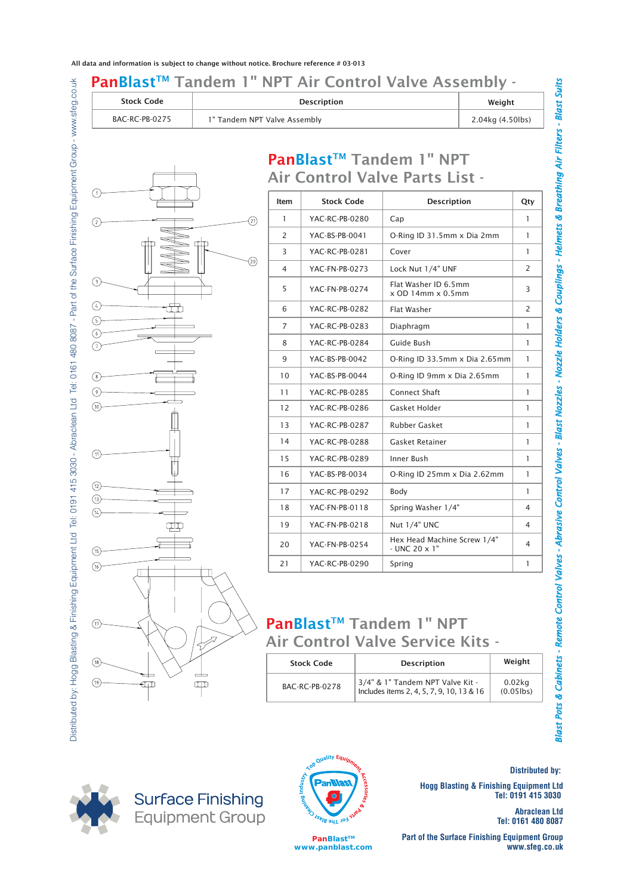#### PanBlast™ Tandem 1" NPT Air Control Valve Assembly -Stock Code Description Weight

| ----------     |                              | ,,,,,,,,,        |
|----------------|------------------------------|------------------|
| BAC-RC-PB-0275 | 1" Tandem NPT Valve Assembly | 2.04kg (4.50lbs) |
|                |                              |                  |

PanBlast<sup>™</sup> Tandem 1" NPT



| Item           | <b>Stock Code</b> | <b>Description</b>                                    | Qty            |
|----------------|-------------------|-------------------------------------------------------|----------------|
| 1              | YAC-RC-PB-0280    | Cap                                                   | 1              |
| $\overline{2}$ | YAC-BS-PB-0041    | O-Ring ID 31.5mm x Dia 2mm                            | 1              |
| 3              | YAC-RC-PB-0281    | Cover                                                 | 1              |
| 4              | YAC-FN-PB-0273    | Lock Nut 1/4" UNF                                     | 2              |
| 5              | YAC-FN-PB-0274    | Flat Washer ID 6.5mm<br>$x$ OD 14mm $x$ 0.5mm         | 3              |
| 6              | YAC-RC-PB-0282    | Flat Washer                                           | 2              |
| $\overline{7}$ | YAC-RC-PB-0283    | Diaphragm                                             | 1              |
| 8              | YAC-RC-PB-0284    | Guide Bush                                            | 1              |
| 9              | YAC-BS-PB-0042    | O-Ring ID 33.5mm x Dia 2.65mm                         | 1              |
| 10             | YAC-BS-PB-0044    | O-Ring ID 9mm x Dia 2.65mm                            | 1              |
| 11             | YAC-RC-PB-0285    | Connect Shaft                                         | 1              |
| 12             | YAC-RC-PB-0286    | Gasket Holder                                         | 1              |
| 13             | YAC-RC-PB-0287    | <b>Rubber Gasket</b>                                  | 1              |
| 14             | YAC-RC-PB-0288    | Gasket Retainer                                       | 1              |
| 15             | YAC-RC-PB-0289    | Inner Bush                                            | 1              |
| 16             | YAC-BS-PB-0034    | O-Ring ID 25mm x Dia 2.62mm                           | 1              |
| 17             | YAC-RC-PB-0292    | Body                                                  | 1              |
| 18             | YAC-FN-PB-0118    | Spring Washer 1/4"                                    | 4              |
| 19             | YAC-FN-PB-0218    | Nut 1/4" UNC                                          | 4              |
| 20             | YAC-FN-PB-0254    | Hex Head Machine Screw 1/4"<br>$-$ UNC 20 $\times$ 1" | $\overline{4}$ |
| 21             | YAC-RC-PB-0290    | Spring                                                | 1              |

## PanBlast<sup>™</sup> Tandem 1" NPT Air Control Valve Service Kits -

| <b>Stock Code</b>      | <b>Description</b>                                                            | Weight                                     |
|------------------------|-------------------------------------------------------------------------------|--------------------------------------------|
| <b>BAC-RC-PB-0278</b>  | 3/4" & 1" Tandem NPT Valve Kit -<br>Includes items 2, 4, 5, 7, 9, 10, 13 & 16 | $0.02$ kg<br>$(0.05$ lbs)                  |
|                        |                                                                               |                                            |
| Top Quality Equip      |                                                                               |                                            |
|                        |                                                                               | <b>Distributed by:</b>                     |
|                        | <b>Hogg Blasting &amp; Finishing Equipment Ltd</b>                            | Tel: 0191 415 3030                         |
| <b>FEDERAL PRIVATE</b> |                                                                               | <b>Abraclean Ltd</b><br>Tel: 0161 480 8087 |

**Surface Finishing** Equipment Group



**PanBlast™ www.panblast.com**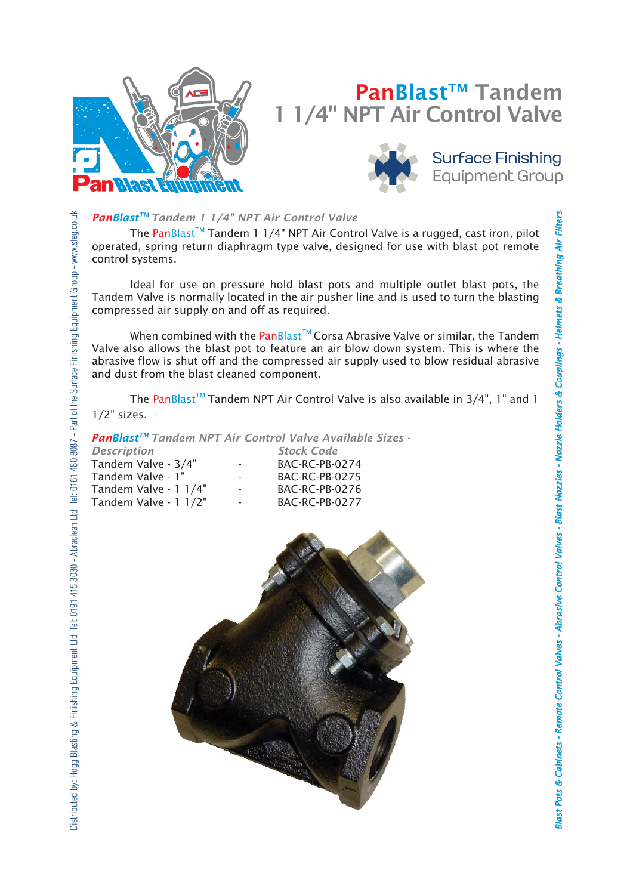

# PanBlast<sup>™</sup> Tandem 1/4" NPT Air Control Valve



**Surface Finishing Equipment Group** 

## *PanBlastTM Tandem 1 1/4" NPT Air Control Valve*

The PanBlast<sup>TM</sup> Tandem 1 1/4" NPT Air Control Valve is a rugged, cast iron, pilot operated, spring return diaphragm type valve, designed for use with blast pot remote control systems.

 Ideal for use on pressure hold blast pots and multiple outlet blast pots, the Tandem Valve is normally located in the air pusher line and is used to turn the blasting compressed air supply on and off as required.

When combined with the PanBlast<sup>™</sup> Corsa Abrasive Valve or similar, the Tandem Valve also allows the blast pot to feature an air blow down system. This is where the abrasive flow is shut off and the compressed air supply used to blow residual abrasive and dust from the blast cleaned component.

The PanBlast<sup>TM</sup> Tandem NPT Air Control Valve is also available in  $3/4$ ", 1" and 1 1/2" sizes.

*PanBlastTM Tandem NPT Air Control Valve Available Sizes -*

| <b>Description</b>    |                          | <b>Stock Code</b>     |
|-----------------------|--------------------------|-----------------------|
| Tandem Valve - 3/4"   | $\overline{\phantom{a}}$ | <b>BAC-RC-PB-0274</b> |
| Tandem Valve - 1"     | $\overline{\phantom{a}}$ | <b>BAC-RC-PB-0275</b> |
| Tandem Valve - 1 1/4" | $\overline{\phantom{a}}$ | <b>BAC-RC-PB-0276</b> |
| Tandem Valve - 1 1/2" | $\sim$                   | <b>BAC-RC-PB-0277</b> |

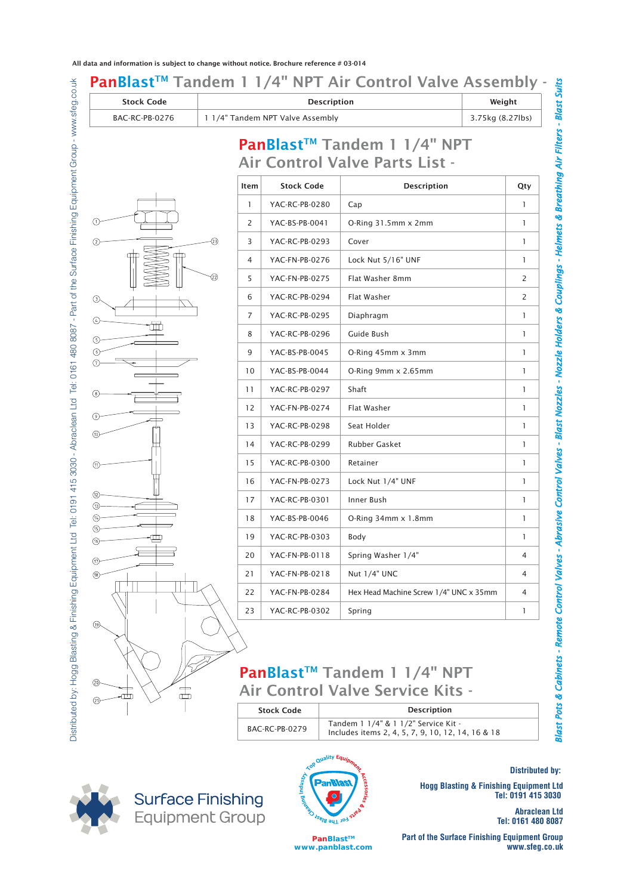| <b>Stock Code</b><br><b>BAC-RC-PB-0276</b> |                          | 1 1/4" Tandem NPT Valve Assembly                                                                                                                                                                                                     | <b>Description</b>                                                                        | Weight<br>3.75kg (8.27lbs)                 |
|--------------------------------------------|--------------------------|--------------------------------------------------------------------------------------------------------------------------------------------------------------------------------------------------------------------------------------|-------------------------------------------------------------------------------------------|--------------------------------------------|
|                                            |                          |                                                                                                                                                                                                                                      |                                                                                           |                                            |
|                                            |                          |                                                                                                                                                                                                                                      | PanBlast™ Tandem 1 1/4" NPT<br>Air Control Valve Parts List -                             |                                            |
|                                            | Item                     | <b>Stock Code</b>                                                                                                                                                                                                                    | <b>Description</b>                                                                        | Qty                                        |
|                                            | 1                        | YAC-RC-PB-0280                                                                                                                                                                                                                       | Cap                                                                                       | 1                                          |
|                                            | 2                        | YAC-BS-PB-0041                                                                                                                                                                                                                       | $O-Ring 31.5mm \times 2mm$                                                                | $\mathbf{1}$                               |
| $^{(2)}$                                   | 3                        | YAC-RC-PB-0293                                                                                                                                                                                                                       | Cover                                                                                     | 1                                          |
|                                            | 4                        | YAC-FN-PB-0276                                                                                                                                                                                                                       | Lock Nut 5/16" UNF                                                                        | $\mathbf{1}$                               |
|                                            | (22)<br>5                | YAC-FN-PB-0275                                                                                                                                                                                                                       | Flat Washer 8mm                                                                           | 2                                          |
| ⊙                                          | 6                        | YAC-RC-PB-0294                                                                                                                                                                                                                       | Flat Washer                                                                               | 2                                          |
| ⊕                                          | $\overline{7}$           | YAC-RC-PB-0295                                                                                                                                                                                                                       | Diaphragm                                                                                 | $\mathbf{1}$                               |
| (5)                                        | 8                        | YAC-RC-PB-0296                                                                                                                                                                                                                       | Guide Bush                                                                                | $\mathbf{1}$                               |
| (6)                                        | 9                        | YAC-BS-PB-0045                                                                                                                                                                                                                       | O-Ring 45mm x 3mm                                                                         | 1                                          |
| (7)                                        | 10                       | YAC-BS-PB-0044                                                                                                                                                                                                                       | O-Ring 9mm x 2.65mm                                                                       | 1                                          |
|                                            | 11                       | YAC-RC-PB-0297                                                                                                                                                                                                                       | Shaft                                                                                     | $\mathbf{1}$                               |
|                                            | 12                       | YAC-FN-PB-0274                                                                                                                                                                                                                       | Flat Washer                                                                               | 1                                          |
|                                            | 13                       | YAC-RC-PB-0298                                                                                                                                                                                                                       | Seat Holder                                                                               | $\mathbf{1}$                               |
|                                            | 14                       | YAC-RC-PB-0299                                                                                                                                                                                                                       | <b>Rubber Gasket</b>                                                                      | 1                                          |
| (11)                                       | 15                       | YAC-RC-PB-0300                                                                                                                                                                                                                       | Retainer                                                                                  | $\mathbf{1}$                               |
|                                            | 16                       | YAC-FN-PB-0273                                                                                                                                                                                                                       | Lock Nut 1/4" UNF                                                                         | $\mathbf{1}$                               |
| (12)<br>(13)                               | 17                       | YAC-RC-PB-0301                                                                                                                                                                                                                       | Inner Bush                                                                                | $\mathbf{1}$                               |
|                                            | 18                       | YAC-BS-PB-0046                                                                                                                                                                                                                       | O-Ring 34mm x 1.8mm                                                                       | $\mathbf{1}$                               |
| ⑹                                          | 19                       | YAC-RC-PB-0303                                                                                                                                                                                                                       | Body                                                                                      | 1                                          |
| (17)                                       | 20                       | YAC-FN-PB-0118                                                                                                                                                                                                                       | Spring Washer 1/4"                                                                        | 4                                          |
| (18)                                       | 21                       | YAC-FN-PB-0218                                                                                                                                                                                                                       | Nut 1/4" UNC                                                                              | 4                                          |
|                                            | 22                       | YAC-FN-PB-0284                                                                                                                                                                                                                       | Hex Head Machine Screw 1/4" UNC x 35mm                                                    | 4                                          |
|                                            | 23                       | YAC-RC-PB-0302                                                                                                                                                                                                                       | Spring                                                                                    | $\mathbf{1}$                               |
| (19)                                       |                          |                                                                                                                                                                                                                                      |                                                                                           |                                            |
|                                            |                          |                                                                                                                                                                                                                                      |                                                                                           |                                            |
|                                            |                          |                                                                                                                                                                                                                                      | PanBlast™ Tandem 1 1/4" NPT                                                               |                                            |
| @<br>盂                                     |                          |                                                                                                                                                                                                                                      | <b>Air Control Valve Service Kits -</b>                                                   |                                            |
| (21)                                       |                          | <b>Stock Code</b>                                                                                                                                                                                                                    | <b>Description</b>                                                                        |                                            |
|                                            |                          | BAC-RC-PB-0279                                                                                                                                                                                                                       | Tandem 1 1/4" & 1 1/2" Service Kit -<br>Includes items 2, 4, 5, 7, 9, 10, 12, 14, 16 & 18 |                                            |
|                                            |                          |                                                                                                                                                                                                                                      |                                                                                           |                                            |
|                                            |                          |                                                                                                                                                                                                                                      | Top Quality Equipment                                                                     | <b>Distributed by:</b>                     |
|                                            |                          | <b>THE RAIL IDA STRAP STRAP STRAP STRAP STRAP STRAP STRAP STRAP STRAP STRAP STRAP STRAP STRAP STRAP STRAP STRAP STRAP STRAP STRAP STRAP STRAP STRAP STRAP STRAP STRAP STRAP STRAP STRAP STRAP STRAP STRAP STRAP STRAP STRAP STRA</b> | cesories d<br><b>Hogg Blasting &amp; Finishing Equipment Ltd</b>                          |                                            |
|                                            | <b>Surface Finishing</b> |                                                                                                                                                                                                                                      |                                                                                           | Tel: 0191 415 3030<br><b>Abraclean Ltd</b> |
|                                            | <b>Equipment Group</b>   |                                                                                                                                                                                                                                      |                                                                                           | Tel: 0161 480 8087                         |

| <b>Stock Code</b> | <b>Description</b>                                                                        |
|-------------------|-------------------------------------------------------------------------------------------|
| BAC-RC-PB-0279    | Tandem 1 1/4" & 1 1/2" Service Kit -<br>Includes items 2, 4, 5, 7, 9, 10, 12, 14, 16 & 18 |







**PanBlast™ www.panblast.com**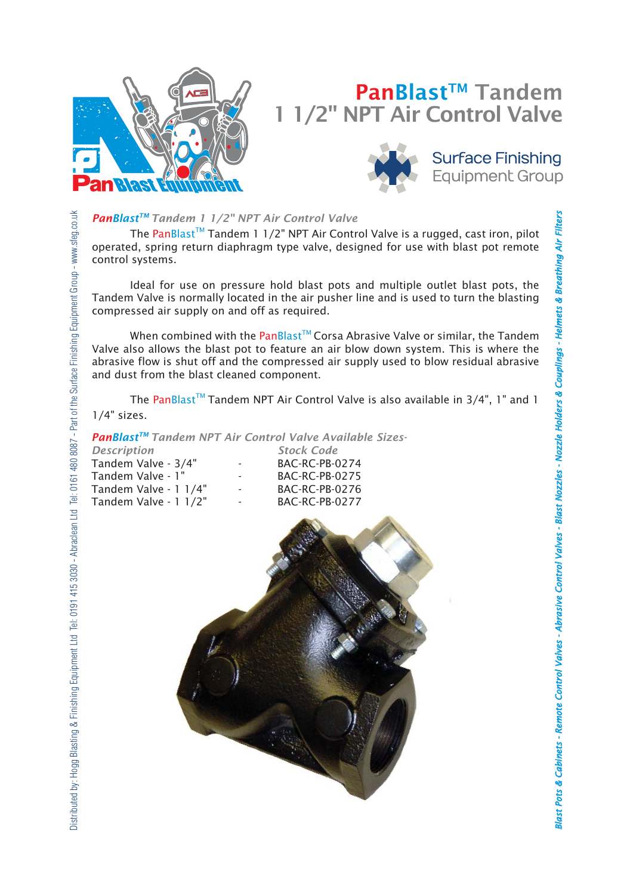

# PanBlast<sup>™</sup> Tandem 1/2" NPT Air Control Valve



**Surface Finishing Equipment Group** 

## *PanBlastTM Tandem 1 1/2" NPT Air Control Valve*

The PanBlast<sup>TM</sup> Tandem 1 1/2" NPT Air Control Valve is a rugged, cast iron, pilot operated, spring return diaphragm type valve, designed for use with blast pot remote control systems.

 Ideal for use on pressure hold blast pots and multiple outlet blast pots, the Tandem Valve is normally located in the air pusher line and is used to turn the blasting compressed air supply on and off as required.

When combined with the PanBlast<sup>™</sup> Corsa Abrasive Valve or similar, the Tandem Valve also allows the blast pot to feature an air blow down system. This is where the abrasive flow is shut off and the compressed air supply used to blow residual abrasive and dust from the blast cleaned component.

The PanBlast<sup>™</sup> Tandem NPT Air Control Valve is also available in  $3/4$ ", 1" and 1 1/4" sizes.

### **PanBlast™ Tandem NPT Air Control Valve Available Sizes-**

| <b>Description</b>    |                          | <b>Stock Code</b>     |
|-----------------------|--------------------------|-----------------------|
| Tandem Valve - 3/4"   | $\sim$                   | <b>BAC-RC-PB-0274</b> |
| Tandem Valve - 1"     | $\overline{\phantom{a}}$ | <b>BAC-RC-PB-0275</b> |
| Tandem Valve - 1 1/4" | $\sim$                   | <b>BAC-RC-PB-0276</b> |
| Tandem Valve - 1 1/2" | $\sim$                   | <b>BAC-RC-PB-0277</b> |